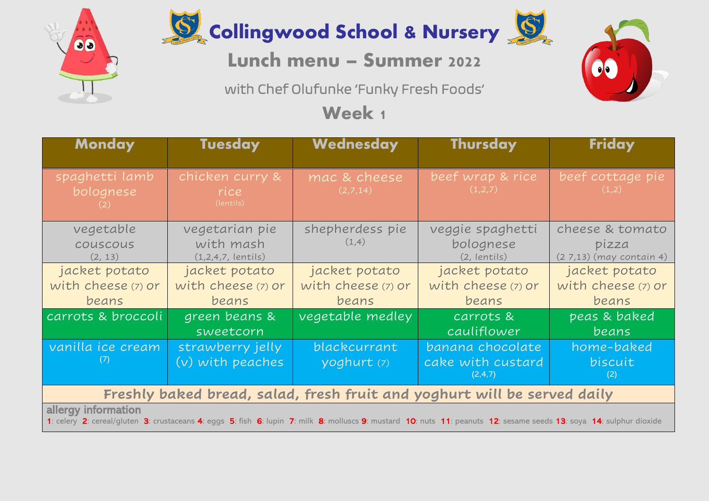

00

## Lunch menu – Summer 2022

with Chef Olufunke 'Funky Fresh Foods'

**Week 1** 

| <b>Monday</b>                                                                                                                                                                               | <b>Tuesday</b>                                      | Wednesday                                    | <b>Thursday</b>                                  | Friday                                              |  |  |
|---------------------------------------------------------------------------------------------------------------------------------------------------------------------------------------------|-----------------------------------------------------|----------------------------------------------|--------------------------------------------------|-----------------------------------------------------|--|--|
| spaghetti lamb<br>bolognese<br>(2)                                                                                                                                                          | chicken curry &<br>rice<br>(lentils)                | mac & cheese<br>(2,7,14)                     | beef wrap & rice<br>(1,2,7)                      | beef cottage pie<br>(1,2)                           |  |  |
| vegetable<br>couscous<br>(2, 13)                                                                                                                                                            | vegetarian pie<br>with mash<br>$(1,2,4,7,$ lentils) | shepherdess pie<br>(1,4)                     | veggie spaghetti<br>bolognese<br>(2, lentils)    | cheese & tomato<br>pizza<br>(27,13) (may contain 4) |  |  |
| jacket potato<br>with cheese (7) or<br>beans                                                                                                                                                | jacket potato<br>with cheese (7) or<br>beans        | jacket potato<br>with cheese (7) or<br>beans | jacket potato<br>with cheese (7) or<br>beans     | jacket potato<br>with cheese (7) or<br>beans        |  |  |
| carrots & broccoli                                                                                                                                                                          | green beans &<br>sweetcorn                          | vegetable medley                             | carrots &<br>cauliflower                         | peas & baked<br><u>beans</u>                        |  |  |
| vanilla ice cream<br>(7)                                                                                                                                                                    | strawberry jelly<br>$(v)$ with peaches              | blackcurrant<br>yoghurt (7)                  | banana chocolate<br>cake with custard<br>(2,4,7) | home-baked<br>biscuit<br>(2)                        |  |  |
| Freshly baked bread, salad, fresh fruit and yoghurt will be served daily                                                                                                                    |                                                     |                                              |                                                  |                                                     |  |  |
| allergy information<br>1: celery 2: cereal/gluten 3: crustaceans 4: eggs 5: fish 6: lupin 7: milk 8: molluscs 9: mustard 10: nuts 11: peanuts 12: sesame seeds 13: soya 14: sulphur dioxide |                                                     |                                              |                                                  |                                                     |  |  |

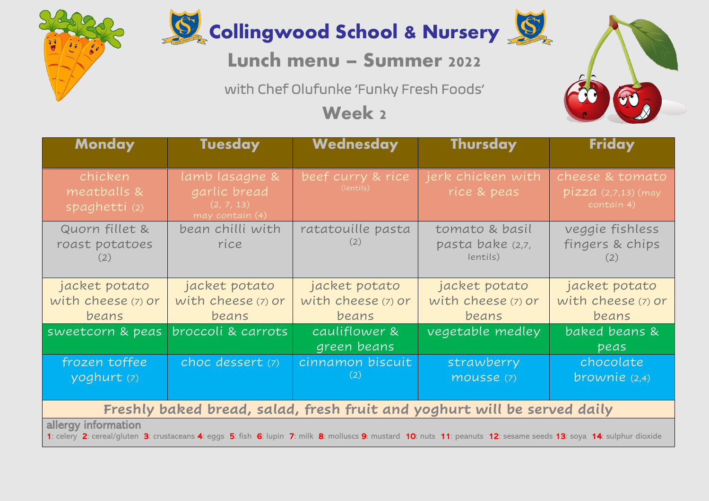



Collingwood School & Nursery

## Lunch menu – Summer 2022

with Chef Olufunke 'Funky Fresh Foods'

**Week 2**

| <b>Monday</b>                                                                                                                                                                               | <b>Tuesday</b>                                                  | Wednesday                                    | <b>Thursday</b>                                | Friday                                                 |  |  |
|---------------------------------------------------------------------------------------------------------------------------------------------------------------------------------------------|-----------------------------------------------------------------|----------------------------------------------|------------------------------------------------|--------------------------------------------------------|--|--|
| chicken<br>meatballs &<br>spaghetti (2)                                                                                                                                                     | lamb lasagne &<br>garlic bread<br>(2, 7, 13)<br>may contain (4) | beef curry & rice<br>(lentils)               | jerk chicken with<br>rice & peas               | cheese & tomato<br>$pizza$ (2,7,13) (may<br>contain 4) |  |  |
| Quorn fillet &<br>roast potatoes<br>(2)                                                                                                                                                     | bean chilli with<br>rice                                        | ratatouille pasta<br>(2)                     | tomato & basil<br>pasta bake (2,7,<br>lentils) | veggie fishless<br>fingers & chips<br>(2)              |  |  |
| jacket potato<br>with cheese (7) or<br>beans                                                                                                                                                | jacket potato<br>with cheese (7) or<br>beans                    | jacket potato<br>with cheese (7) or<br>beans | jacket potato<br>with cheese (7) or<br>beans   | jacket potato<br>with cheese (7) or<br>beans           |  |  |
| sweetcorn & peas                                                                                                                                                                            | broccoli & carrots                                              | cauliflower &<br>green beans                 | vegetable medley                               | baked beans &<br>peas                                  |  |  |
| frozen toffee<br>yoghurt (7)                                                                                                                                                                | choc dessert (7)                                                | cinnamon biscuit<br>(2)                      | strawberry<br>mousse (7)                       | chocolate<br>brownie $(2,4)$                           |  |  |
| Freshly baked bread, salad, fresh fruit and yoghurt will be served daily                                                                                                                    |                                                                 |                                              |                                                |                                                        |  |  |
| allergy information<br>1: celery 2: cereal/gluten 3: crustaceans 4: eggs 5: fish 6: lupin 7: milk 8: molluscs 9: mustard 10: nuts 11: peanuts 12: sesame seeds 13: soya 14: sulphur dioxide |                                                                 |                                              |                                                |                                                        |  |  |